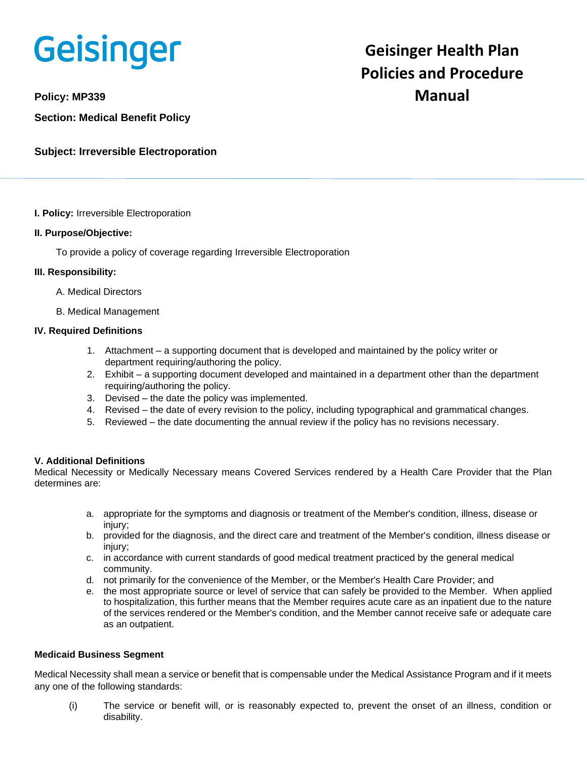

**Section: Medical Benefit Policy**

**Subject: Irreversible Electroporation**

### **I. Policy:** Irreversible Electroporation

### **II. Purpose/Objective:**

To provide a policy of coverage regarding Irreversible Electroporation

# **III. Responsibility:**

- A. Medical Directors
- B. Medical Management

# **IV. Required Definitions**

- 1. Attachment a supporting document that is developed and maintained by the policy writer or department requiring/authoring the policy.
- 2. Exhibit a supporting document developed and maintained in a department other than the department requiring/authoring the policy.
- 3. Devised the date the policy was implemented.
- 4. Revised the date of every revision to the policy, including typographical and grammatical changes.
- 5. Reviewed the date documenting the annual review if the policy has no revisions necessary.

### **V. Additional Definitions**

Medical Necessity or Medically Necessary means Covered Services rendered by a Health Care Provider that the Plan determines are:

- a. appropriate for the symptoms and diagnosis or treatment of the Member's condition, illness, disease or injury:
- b. provided for the diagnosis, and the direct care and treatment of the Member's condition, illness disease or injury;
- c. in accordance with current standards of good medical treatment practiced by the general medical community.
- d. not primarily for the convenience of the Member, or the Member's Health Care Provider; and
- e. the most appropriate source or level of service that can safely be provided to the Member. When applied to hospitalization, this further means that the Member requires acute care as an inpatient due to the nature of the services rendered or the Member's condition, and the Member cannot receive safe or adequate care as an outpatient.

### **Medicaid Business Segment**

Medical Necessity shall mean a service or benefit that is compensable under the Medical Assistance Program and if it meets any one of the following standards:

(i) The service or benefit will, or is reasonably expected to, prevent the onset of an illness, condition or disability.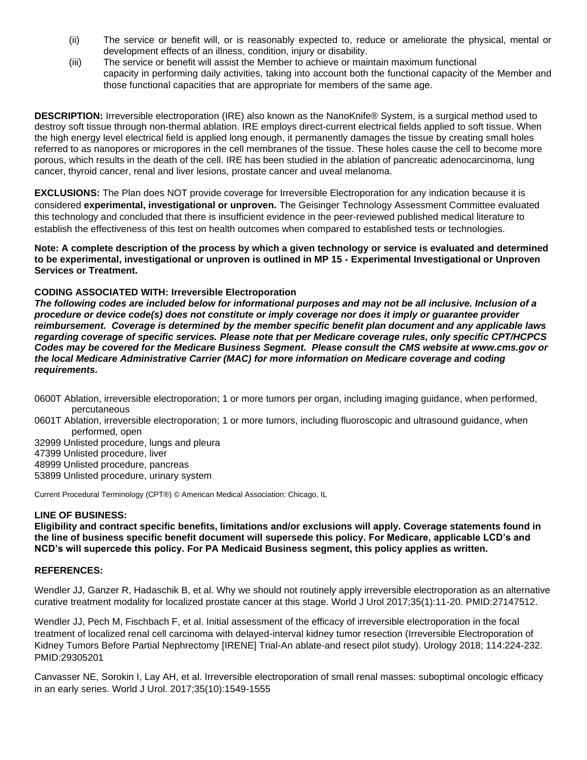- (ii) The service or benefit will, or is reasonably expected to, reduce or ameliorate the physical, mental or development effects of an illness, condition, injury or disability.
- (iii) The service or benefit will assist the Member to achieve or maintain maximum functional capacity in performing daily activities, taking into account both the functional capacity of the Member and those functional capacities that are appropriate for members of the same age.

**DESCRIPTION:** Irreversible electroporation (IRE) also known as the NanoKnife® System, is a surgical method used to destroy soft tissue through non-thermal ablation. IRE employs direct-current electrical fields applied to soft tissue. When the high energy level electrical field is applied long enough, it permanently damages the tissue by creating small holes referred to as nanopores or micropores in the cell membranes of the tissue. These holes cause the cell to become more porous, which results in the death of the cell. IRE has been studied in the ablation of pancreatic adenocarcinoma, lung cancer, thyroid cancer, renal and liver lesions, prostate cancer and uveal melanoma.

**EXCLUSIONS:** The Plan does NOT provide coverage for Irreversible Electroporation for any indication because it is considered **experimental, investigational or unproven.** The Geisinger Technology Assessment Committee evaluated this technology and concluded that there is insufficient evidence in the peer-reviewed published medical literature to establish the effectiveness of this test on health outcomes when compared to established tests or technologies.

**Note: A complete description of the process by which a given technology or service is evaluated and determined to be experimental, investigational or unproven is outlined in MP 15 - Experimental Investigational or Unproven Services or Treatment.**

# **CODING ASSOCIATED WITH: Irreversible Electroporation**

*The following codes are included below for informational purposes and may not be all inclusive. Inclusion of a procedure or device code(s) does not constitute or imply coverage nor does it imply or guarantee provider reimbursement. Coverage is determined by the member specific benefit plan document and any applicable laws regarding coverage of specific services. Please note that per Medicare coverage rules, only specific CPT/HCPCS Codes may be covered for the Medicare Business Segment. Please consult the CMS website at www.cms.gov or the local Medicare Administrative Carrier (MAC) for more information on Medicare coverage and coding requirements.*

- 0600T Ablation, irreversible electroporation; 1 or more tumors per organ, including imaging guidance, when performed, percutaneous
- 0601T Ablation, irreversible electroporation; 1 or more tumors, including fluoroscopic and ultrasound guidance, when performed, open
- 32999 Unlisted procedure, lungs and pleura
- 47399 Unlisted procedure, liver
- 48999 Unlisted procedure, pancreas
- 53899 Unlisted procedure, urinary system

Current Procedural Terminology (CPT®) © American Medical Association: Chicago, IL

### **LINE OF BUSINESS:**

**Eligibility and contract specific benefits, limitations and/or exclusions will apply. Coverage statements found in the line of business specific benefit document will supersede this policy. For Medicare, applicable LCD's and NCD's will supercede this policy. For PA Medicaid Business segment, this policy applies as written.**

### **REFERENCES:**

Wendler JJ, Ganzer R, Hadaschik B, et al. Why we should not routinely apply irreversible electroporation as an alternative curative treatment modality for localized prostate cancer at this stage. World J Urol 2017;35(1):11-20. PMID:27147512.

Wendler JJ, Pech M, Fischbach F, et al. Initial assessment of the efficacy of irreversible electroporation in the focal treatment of localized renal cell carcinoma with delayed-interval kidney tumor resection (Irreversible Electroporation of Kidney Tumors Before Partial Nephrectomy [IRENE] Trial-An ablate-and resect pilot study). Urology 2018; 114:224-232. PMID:29305201

Canvasser NE, Sorokin I, Lay AH, et al. Irreversible electroporation of small renal masses: suboptimal oncologic efficacy in an early series. World J Urol. 2017;35(10):1549-1555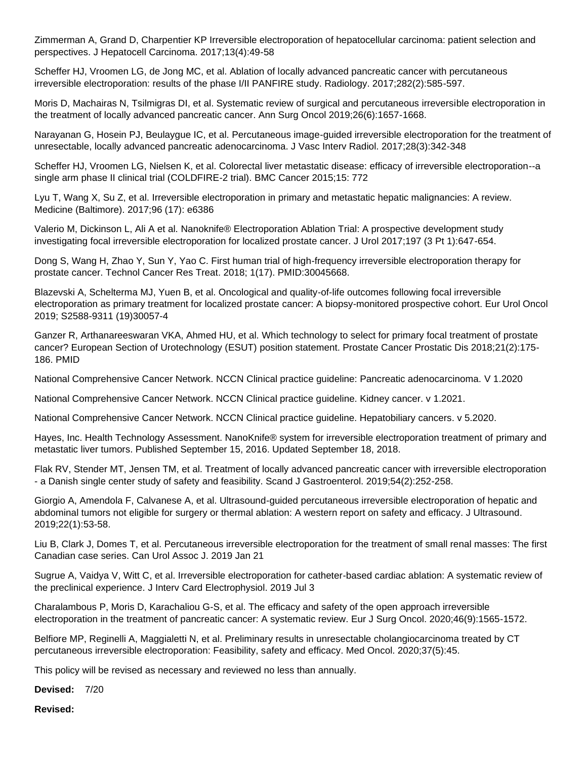Zimmerman A, Grand D, Charpentier KP Irreversible electroporation of hepatocellular carcinoma: patient selection and perspectives. J Hepatocell Carcinoma. 2017;13(4):49-58

Scheffer HJ, Vroomen LG, de Jong MC, et al. Ablation of locally advanced pancreatic cancer with percutaneous irreversible electroporation: results of the phase I/II PANFIRE study. Radiology. 2017;282(2):585-597.

Moris D, Machairas N, Tsilmigras DI, et al. Systematic review of surgical and percutaneous irreversible electroporation in the treatment of locally advanced pancreatic cancer. Ann Surg Oncol 2019;26(6):1657-1668.

Narayanan G, Hosein PJ, Beulaygue IC, et al. Percutaneous image-guided irreversible electroporation for the treatment of unresectable, locally advanced pancreatic adenocarcinoma. J Vasc Interv Radiol. 2017;28(3):342-348

Scheffer HJ, Vroomen LG, Nielsen K, et al. Colorectal liver metastatic disease: efficacy of irreversible electroporation--a single arm phase II clinical trial (COLDFIRE-2 trial). BMC Cancer 2015;15: 772

Lyu T, Wang X, Su Z, et al. Irreversible electroporation in primary and metastatic hepatic malignancies: A review. Medicine (Baltimore). 2017;96 (17): e6386

Valerio M, Dickinson L, Ali A et al. Nanoknife® Electroporation Ablation Trial: A prospective development study investigating focal irreversible electroporation for localized prostate cancer. J Urol 2017;197 (3 Pt 1):647-654.

Dong S, Wang H, Zhao Y, Sun Y, Yao C. First human trial of high-frequency irreversible electroporation therapy for prostate cancer. Technol Cancer Res Treat. 2018; 1(17). PMID:30045668.

Blazevski A, Schelterma MJ, Yuen B, et al. Oncological and quality-of-life outcomes following focal irreversible electroporation as primary treatment for localized prostate cancer: A biopsy-monitored prospective cohort. Eur Urol Oncol 2019; S2588-9311 (19)30057-4

Ganzer R, Arthanareeswaran VKA, Ahmed HU, et al. Which technology to select for primary focal treatment of prostate cancer? European Section of Urotechnology (ESUT) position statement. Prostate Cancer Prostatic Dis 2018;21(2):175- 186. PMID

National Comprehensive Cancer Network. NCCN Clinical practice guideline: Pancreatic adenocarcinoma. V 1.2020

National Comprehensive Cancer Network. NCCN Clinical practice guideline. Kidney cancer. v 1.2021.

National Comprehensive Cancer Network. NCCN Clinical practice guideline. Hepatobiliary cancers. v 5.2020.

Hayes, Inc. Health Technology Assessment. NanoKnife® system for irreversible electroporation treatment of primary and metastatic liver tumors. Published September 15, 2016. Updated September 18, 2018.

Flak RV, Stender MT, Jensen TM, et al. Treatment of locally advanced pancreatic cancer with irreversible electroporation - a Danish single center study of safety and feasibility. Scand J Gastroenterol. 2019;54(2):252-258.

Giorgio A, Amendola F, Calvanese A, et al. Ultrasound-guided percutaneous irreversible electroporation of hepatic and abdominal tumors not eligible for surgery or thermal ablation: A western report on safety and efficacy. J Ultrasound. 2019;22(1):53-58.

Liu B, Clark J, Domes T, et al. Percutaneous irreversible electroporation for the treatment of small renal masses: The first Canadian case series. Can Urol Assoc J. 2019 Jan 21

Sugrue A, Vaidya V, Witt C, et al. Irreversible electroporation for catheter-based cardiac ablation: A systematic review of the preclinical experience. J Interv Card Electrophysiol. 2019 Jul 3

Charalambous P, Moris D, Karachaliou G-S, et al. The efficacy and safety of the open approach irreversible electroporation in the treatment of pancreatic cancer: A systematic review. Eur J Surg Oncol. 2020;46(9):1565-1572.

Belfiore MP, Reginelli A, Maggialetti N, et al. Preliminary results in unresectable cholangiocarcinoma treated by CT percutaneous irreversible electroporation: Feasibility, safety and efficacy. Med Oncol. 2020;37(5):45.

This policy will be revised as necessary and reviewed no less than annually.

**Devised:** 7/20

**Revised:**